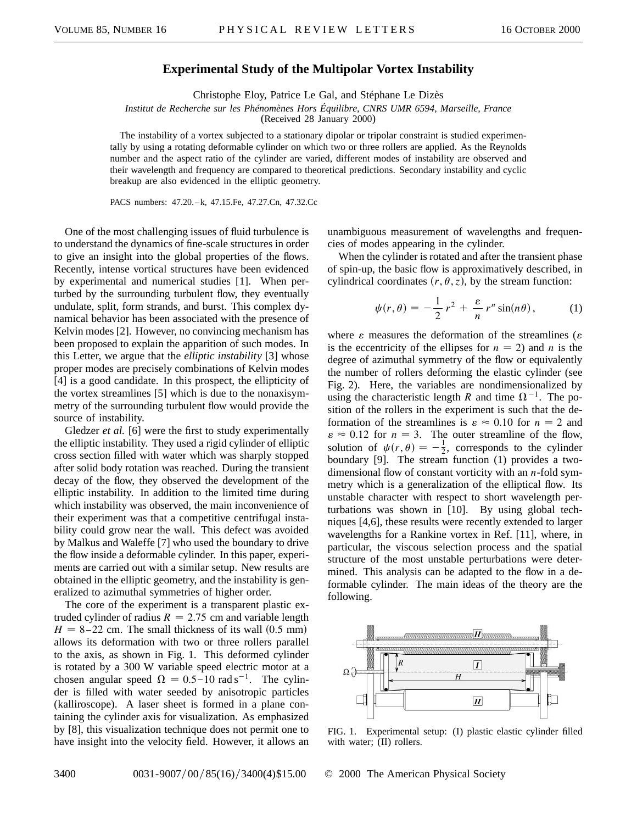## **Experimental Study of the Multipolar Vortex Instability**

Christophe Eloy, Patrice Le Gal, and Stéphane Le Dizès

*Institut de Recherche sur les Phénomènes Hors Équilibre, CNRS UMR 6594, Marseille, France*

(Received 28 January 2000)

The instability of a vortex subjected to a stationary dipolar or tripolar constraint is studied experimentally by using a rotating deformable cylinder on which two or three rollers are applied. As the Reynolds number and the aspect ratio of the cylinder are varied, different modes of instability are observed and their wavelength and frequency are compared to theoretical predictions. Secondary instability and cyclic breakup are also evidenced in the elliptic geometry.

PACS numbers: 47.20.–k, 47.15.Fe, 47.27.Cn, 47.32.Cc

One of the most challenging issues of fluid turbulence is to understand the dynamics of fine-scale structures in order to give an insight into the global properties of the flows. Recently, intense vortical structures have been evidenced by experimental and numerical studies [1]. When perturbed by the surrounding turbulent flow, they eventually undulate, split, form strands, and burst. This complex dynamical behavior has been associated with the presence of Kelvin modes [2]. However, no convincing mechanism has been proposed to explain the apparition of such modes. In this Letter, we argue that the *elliptic instability* [3] whose proper modes are precisely combinations of Kelvin modes [4] is a good candidate. In this prospect, the ellipticity of the vortex streamlines [5] which is due to the nonaxisymmetry of the surrounding turbulent flow would provide the source of instability.

Gledzer *et al.* [6] were the first to study experimentally the elliptic instability. They used a rigid cylinder of elliptic cross section filled with water which was sharply stopped after solid body rotation was reached. During the transient decay of the flow, they observed the development of the elliptic instability. In addition to the limited time during which instability was observed, the main inconvenience of their experiment was that a competitive centrifugal instability could grow near the wall. This defect was avoided by Malkus and Waleffe [7] who used the boundary to drive the flow inside a deformable cylinder. In this paper, experiments are carried out with a similar setup. New results are obtained in the elliptic geometry, and the instability is generalized to azimuthal symmetries of higher order.

The core of the experiment is a transparent plastic extruded cylinder of radius  $R = 2.75$  cm and variable length  $H = 8-22$  cm. The small thickness of its wall  $(0.5 \text{ mm})$ allows its deformation with two or three rollers parallel to the axis, as shown in Fig. 1. This deformed cylinder is rotated by a 300 W variable speed electric motor at a chosen angular speed  $\Omega = 0.5$  -10 rad s<sup>-1</sup>. The cylinder is filled with water seeded by anisotropic particles (kalliroscope). A laser sheet is formed in a plane containing the cylinder axis for visualization. As emphasized by [8], this visualization technique does not permit one to have insight into the velocity field. However, it allows an unambiguous measurement of wavelengths and frequencies of modes appearing in the cylinder.

When the cylinder is rotated and after the transient phase of spin-up, the basic flow is approximatively described, in cylindrical coordinates  $(r, \theta, z)$ , by the stream function:

$$
\psi(r,\theta) = -\frac{1}{2}r^2 + \frac{\varepsilon}{n}r^n\sin(n\theta),\tag{1}
$$

where  $\varepsilon$  measures the deformation of the streamlines ( $\varepsilon$ ) is the eccentricity of the ellipses for  $n = 2$ ) and *n* is the degree of azimuthal symmetry of the flow or equivalently the number of rollers deforming the elastic cylinder (see Fig. 2). Here, the variables are nondimensionalized by using the characteristic length *R* and time  $\Omega^{-1}$ . The position of the rollers in the experiment is such that the deformation of the streamlines is  $\varepsilon \approx 0.10$  for  $n = 2$  and  $\varepsilon \approx 0.12$  for  $n = 3$ . The outer streamline of the flow, solution of  $\psi(r,\theta) = -\frac{1}{2}$ , corresponds to the cylinder boundary [9]. The stream function (1) provides a twodimensional flow of constant vorticity with an *n*-fold symmetry which is a generalization of the elliptical flow. Its unstable character with respect to short wavelength perturbations was shown in [10]. By using global techniques [4,6], these results were recently extended to larger wavelengths for a Rankine vortex in Ref. [11], where, in particular, the viscous selection process and the spatial structure of the most unstable perturbations were determined. This analysis can be adapted to the flow in a deformable cylinder. The main ideas of the theory are the following.



FIG. 1. Experimental setup: (I) plastic elastic cylinder filled with water;  $(II)$  rollers.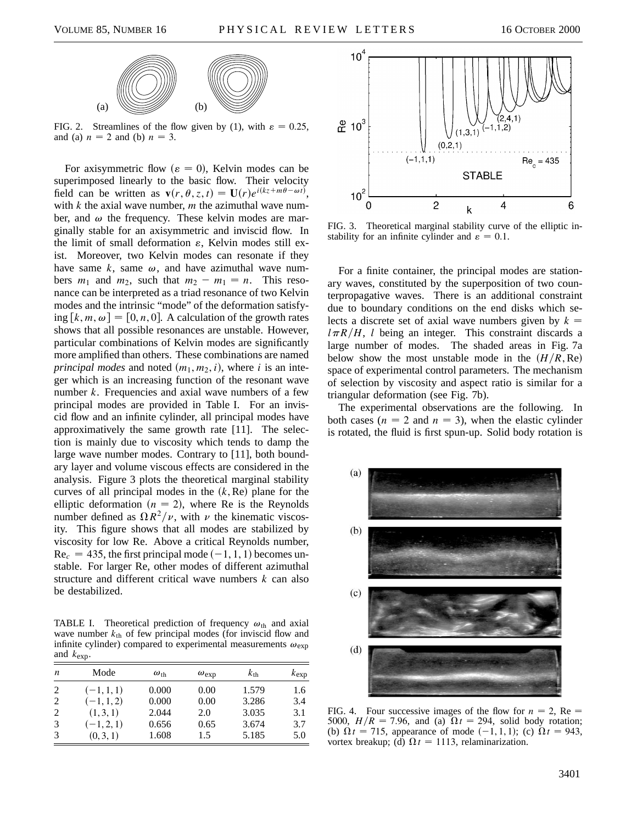

FIG. 2. Streamlines of the flow given by (1), with  $\varepsilon = 0.25$ , and (a)  $n = 2$  and (b)  $n = 3$ .

For axisymmetric flow ( $\varepsilon = 0$ ), Kelvin modes can be superimposed linearly to the basic flow. Their velocity field can be written as  $\mathbf{v}(r, \theta, z, t) = \mathbf{U}(r)e^{i(kz + m\theta - \omega t)},$ with *k* the axial wave number, *m* the azimuthal wave number, and  $\omega$  the frequency. These kelvin modes are marginally stable for an axisymmetric and inviscid flow. In the limit of small deformation  $\varepsilon$ , Kelvin modes still exist. Moreover, two Kelvin modes can resonate if they have same  $k$ , same  $\omega$ , and have azimuthal wave numbers  $m_1$  and  $m_2$ , such that  $m_2 - m_1 = n$ . This resonance can be interpreted as a triad resonance of two Kelvin modes and the intrinsic "mode" of the deformation satisfying  $[k, m, \omega] = [0, n, 0]$ . A calculation of the growth rates shows that all possible resonances are unstable. However, particular combinations of Kelvin modes are significantly more amplified than others. These combinations are named *principal modes* and noted  $(m_1, m_2, i)$ , where *i* is an integer which is an increasing function of the resonant wave number *k*. Frequencies and axial wave numbers of a few principal modes are provided in Table I. For an inviscid flow and an infinite cylinder, all principal modes have approximatively the same growth rate [11]. The selection is mainly due to viscosity which tends to damp the large wave number modes. Contrary to [11], both boundary layer and volume viscous effects are considered in the analysis. Figure 3 plots the theoretical marginal stability curves of all principal modes in the  $(k, Re)$  plane for the elliptic deformation  $(n = 2)$ , where Re is the Reynolds number defined as  $\Omega R^2/\nu$ , with  $\nu$  the kinematic viscosity. This figure shows that all modes are stabilized by viscosity for low Re. Above a critical Reynolds number,  $Re_c = 435$ , the first principal mode  $(-1, 1, 1)$  becomes unstable. For larger Re, other modes of different azimuthal structure and different critical wave numbers *k* can also be destabilized.

TABLE I. Theoretical prediction of frequency  $\omega_{\text{th}}$  and axial wave number  $k_{\text{th}}$  of few principal modes (for inviscid flow and infinite cylinder) compared to experimental measurements  $\omega_{\text{exp}}$ and *k*exp.

| n | Mode         | $\omega_{\text{th}}$ | $\omega_{\rm exp}$ | $k_{\text{th}}$ | $k_{\exp}$ |
|---|--------------|----------------------|--------------------|-----------------|------------|
| 2 | $(-1, 1, 1)$ | 0.000                | 0.00               | 1.579           | 1.6        |
| 2 | $(-1, 1, 2)$ | 0.000                | 0.00               | 3.286           | 3.4        |
| 2 | (1, 3, 1)    | 2.044                | 2.0                | 3.035           | 3.1        |
| 3 | $(-1, 2, 1)$ | 0.656                | 0.65               | 3.674           | 3.7        |
| 3 | (0, 3, 1)    | 1.608                | 1.5                | 5.185           | 5.0        |



FIG. 3. Theoretical marginal stability curve of the elliptic instability for an infinite cylinder and  $\varepsilon = 0.1$ .

For a finite container, the principal modes are stationary waves, constituted by the superposition of two counterpropagative waves. There is an additional constraint due to boundary conditions on the end disks which selects a discrete set of axial wave numbers given by  $k =$  $l \pi R/H$ , *l* being an integer. This constraint discards a large number of modes. The shaded areas in Fig. 7a below show the most unstable mode in the  $(H/R, Re)$ space of experimental control parameters. The mechanism of selection by viscosity and aspect ratio is similar for a triangular deformation (see Fig. 7b).

The experimental observations are the following. In both cases ( $n = 2$  and  $n = 3$ ), when the elastic cylinder is rotated, the fluid is first spun-up. Solid body rotation is



FIG. 4. Four successive images of the flow for  $n = 2$ , Re 5000,  $H/R = 7.96$ , and (a)  $\Omega t = 294$ , solid body rotation; (b)  $\Omega t = 715$ , appearance of mode  $(-1, 1, 1)$ ; (c)  $\Omega t = 943$ , vortex breakup; (d)  $\Omega t = 1113$ , relaminarization.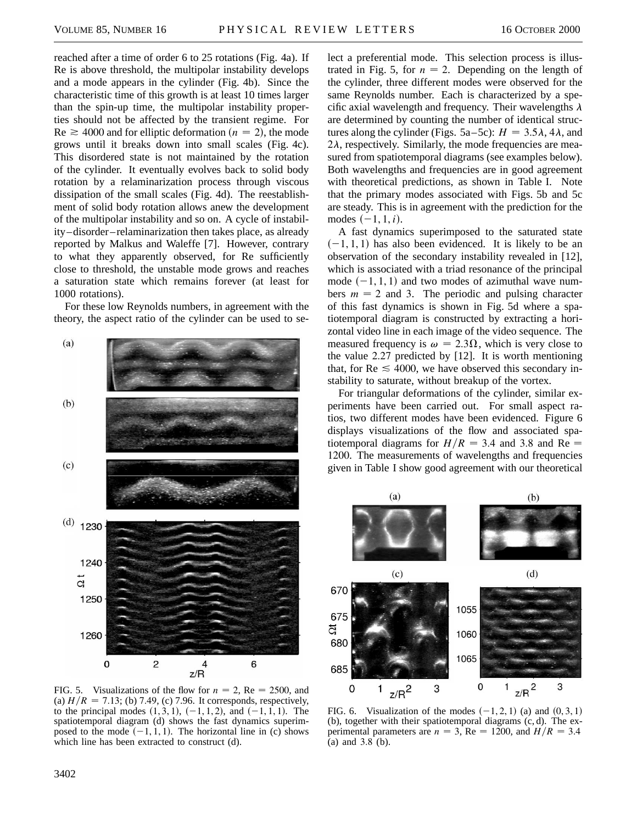reached after a time of order 6 to 25 rotations (Fig. 4a). If Re is above threshold, the multipolar instability develops and a mode appears in the cylinder (Fig. 4b). Since the characteristic time of this growth is at least 10 times larger than the spin-up time, the multipolar instability properties should not be affected by the transient regime. For  $Re \ge 4000$  and for elliptic deformation ( $n = 2$ ), the mode grows until it breaks down into small scales (Fig. 4c). This disordered state is not maintained by the rotation of the cylinder. It eventually evolves back to solid body rotation by a relaminarization process through viscous dissipation of the small scales (Fig. 4d). The reestablishment of solid body rotation allows anew the development of the multipolar instability and so on. A cycle of instability–disorder–relaminarization then takes place, as already reported by Malkus and Waleffe [7]. However, contrary to what they apparently observed, for Re sufficiently close to threshold, the unstable mode grows and reaches a saturation state which remains forever (at least for 1000 rotations).

For these low Reynolds numbers, in agreement with the theory, the aspect ratio of the cylinder can be used to se-



FIG. 5. Visualizations of the flow for  $n = 2$ , Re = 2500, and (a)  $H/R = 7.13$ ; (b) 7.49, (c) 7.96. It corresponds, respectively, to the principal modes  $(1, 3, 1), (-1, 1, 2),$  and  $(-1, 1, 1)$ . The spatiotemporal diagram (d) shows the fast dynamics superimposed to the mode  $(-1, 1, 1)$ . The horizontal line in (c) shows which line has been extracted to construct (d).

lect a preferential mode. This selection process is illustrated in Fig. 5, for  $n = 2$ . Depending on the length of the cylinder, three different modes were observed for the same Reynolds number. Each is characterized by a specific axial wavelength and frequency. Their wavelengths  $\lambda$ are determined by counting the number of identical structures along the cylinder (Figs. 5a–5c):  $H = 3.5\lambda$ , 4 $\lambda$ , and  $2\lambda$ , respectively. Similarly, the mode frequencies are measured from spatiotemporal diagrams (see examples below). Both wavelengths and frequencies are in good agreement with theoretical predictions, as shown in Table I. Note that the primary modes associated with Figs. 5b and 5c are steady. This is in agreement with the prediction for the modes  $(-1, 1, i)$ .

A fast dynamics superimposed to the saturated state  $(-1, 1, 1)$  has also been evidenced. It is likely to be an observation of the secondary instability revealed in [12], which is associated with a triad resonance of the principal mode  $(-1, 1, 1)$  and two modes of azimuthal wave numbers  $m = 2$  and 3. The periodic and pulsing character of this fast dynamics is shown in Fig. 5d where a spatiotemporal diagram is constructed by extracting a horizontal video line in each image of the video sequence. The measured frequency is  $\omega = 2.3\Omega$ , which is very close to the value 2.27 predicted by [12]. It is worth mentioning that, for  $Re \leq 4000$ , we have observed this secondary instability to saturate, without breakup of the vortex.

For triangular deformations of the cylinder, similar experiments have been carried out. For small aspect ratios, two different modes have been evidenced. Figure 6 displays visualizations of the flow and associated spatiotemporal diagrams for  $H/R = 3.4$  and 3.8 and Re = 1200. The measurements of wavelengths and frequencies given in Table I show good agreement with our theoretical



FIG. 6. Visualization of the modes  $(-1, 2, 1)$  (a) and  $(0, 3, 1)$ (b), together with their spatiotemporal diagrams (c, d). The experimental parameters are  $n = 3$ , Re = 1200, and  $H/R = 3.4$ (a) and 3.8 (b).